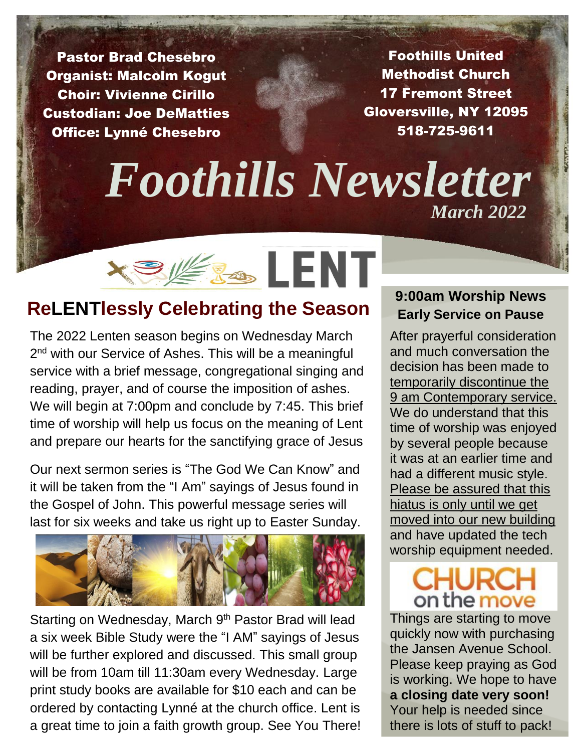Pastor Brad Chesebro Organist: Malcolm Kogut Choir: Vivienne Cirillo Custodian: Joe DeMatties Office: Lynné Chesebro

Foothills United Methodist Church 17 Fremont Street Gloversville, NY 12095 518-725-9611

# *Foothills Newsletter March* 2022



# **ReLENTlessly Celebrating the Season**

The 2022 Lenten season begins on Wednesday March 2<sup>nd</sup> with our Service of Ashes. This will be a meaningful service with a brief message, congregational singing and reading, prayer, and of course the imposition of ashes. We will begin at 7:00pm and conclude by 7:45. This brief time of worship will help us focus on the meaning of Lent and prepare our hearts for the sanctifying grace of Jesus

Our next sermon series is "The God We Can Know" and it will be taken from the "I Am" sayings of Jesus found in the Gospel of John. This powerful message series will last for six weeks and take us right up to Easter Sunday.



Starting on Wednesday, March 9<sup>th</sup> Pastor Brad will lead a six week Bible Study were the "I AM" sayings of Jesus will be further explored and discussed. This small group will be from 10am till 11:30am every Wednesday. Large print study books are available for \$10 each and can be ordered by contacting Lynné at the church office. Lent is a great time to join a faith growth group. See You There!

# **9:00am Worship News Early Service on Pause**

After prayerful consideration and much conversation the decision has been made to temporarily discontinue the 9 am Contemporary service. We do understand that this time of worship was enjoyed by several people because it was at an earlier time and had a different music style. Please be assured that this hiatus is only until we get moved into our new building and have updated the tech worship equipment needed.

# on the move

Things are starting to move quickly now with purchasing the Jansen Avenue School. Please keep praying as God is working. We hope to have **a closing date very soon!** Your help is needed since there is lots of stuff to pack!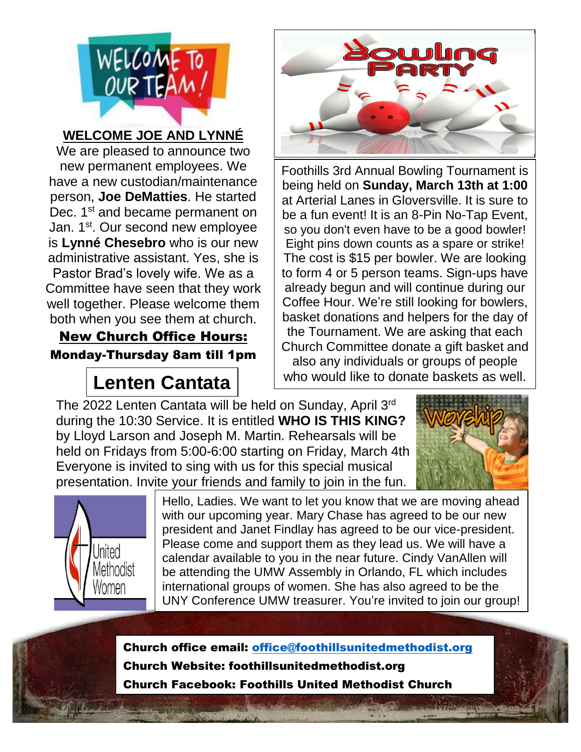

## **WELCOME JOE AND LYNNÉ**

We are pleased to announce two new permanent employees. We have a new custodian/maintenance person, **Joe DeMatties**. He started Dec. 1<sup>st</sup> and became permanent on Jan. 1<sup>st</sup>. Our second new employee is **Lynné Chesebro** who is our new administrative assistant. Yes, she is Pastor Brad's lovely wife. We as a Committee have seen that they work well together. Please welcome them both when you see them at church.

New Church Office Hours: Monday-Thursday 8am till 1pm

# **Lenten Cantata**



Foothills 3rd Annual Bowling Tournament is being held on **Sunday, March 13th at 1:00** at Arterial Lanes in Gloversville. It is sure to be a fun event! It is an 8-Pin No-Tap Event, so you don't even have to be a good bowler! Eight pins down counts as a spare or strike! The cost is \$15 per bowler. We are looking to form 4 or 5 person teams. Sign-ups have already begun and will continue during our Coffee Hour. We're still looking for bowlers, basket donations and helpers for the day of the Tournament. We are asking that each Church Committee donate a gift basket and also any individuals or groups of people who would like to donate baskets as well.

The 2022 Lenten Cantata will be held on Sunday, April 3<sup>rd</sup> during the 10:30 Service. It is entitled **WHO IS THIS KING?**<br>by Ulovd Larson and Joseph M. Martin, Pehearsals will be **///////////////** held on Fridays from 5:00-6:00 starting on Friday, March 4th by Lloyd Larson and Joseph M. Martin. Rehearsals will be Everyone is invited to sing with us for this special musical presentation. Invite your friends and family to join in the fun.





Hello, Ladies. We want to let you know that we are moving ahead with our upcoming year. Mary Chase has agreed to be our new president and Janet Findlay has agreed to be our vice-president. Please come and support them as they lead us. We will have a calendar available to you in the near future. Cindy VanAllen will be attending the UMW Assembly in Orlando, FL which includes international groups of women. She has also agreed to be the UNY Conference UMW treasurer. You're invited to join our group!

Church office email: [office@foothillsunitedmethodist.org](mailto:office@foothillsunitedmethodist.org) Church Website: foothillsunitedmethodist.org Church Facebook: Foothills United Methodist Church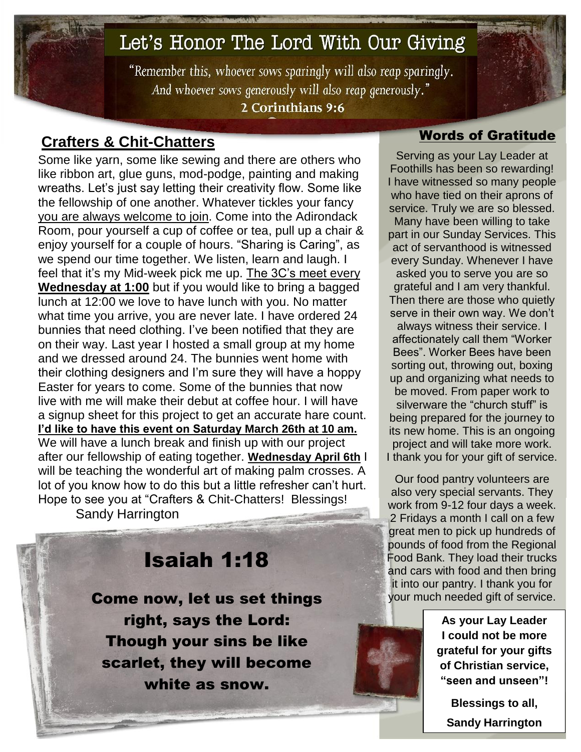# Let's Honor The Lord With Our Giving

"Remember this, whoever sows sparingly will also reap sparingly. And whoever sows generously will also reap generously." 2 Corinthians 9:6

# Words of Gratitude **Crafters & Chit-Chatters**

Some like yarn, some like sewing and there are others who like ribbon art, glue guns, mod-podge, painting and making wreaths. Let's just say letting their creativity flow. Some like the fellowship of one another. Whatever tickles your fancy you are always welcome to join. Come into the Adirondack Room, pour yourself a cup of coffee or tea, pull up a chair & enjoy yourself for a couple of hours. "Sharing is Caring", as we spend our time together. We listen, learn and laugh. I feel that it's my Mid-week pick me up. The 3C's meet every **Wednesday at 1:00** but if you would like to bring a bagged lunch at 12:00 we love to have lunch with you. No matter what time you arrive, you are never late. I have ordered 24 bunnies that need clothing. I've been notified that they are on their way. Last year I hosted a small group at my home and we dressed around 24. The bunnies went home with their clothing designers and I'm sure they will have a hoppy Easter for years to come. Some of the bunnies that now live with me will make their debut at coffee hour. I will have a signup sheet for this project to get an accurate hare count. **I'd like to have this event on Saturday March 26th at 10 am.** We will have a lunch break and finish up with our project after our fellowship of eating together. **Wednesday April 6th** I will be teaching the wonderful art of making palm crosses. A lot of you know how to do this but a little refresher can't hurt. Hope to see you at "Crafters & Chit-Chatters! Blessings! Sandy Harrington

Isaiah 1:18 Come now, let us set things right, says the Lord: Though your sins be like scarlet, they will become white as snow.

Serving as your Lay Leader at Foothills has been so rewarding! I have witnessed so many people who have tied on their aprons of service. Truly we are so blessed. Many have been willing to take part in our Sunday Services. This act of servanthood is witnessed every Sunday. Whenever I have asked you to serve you are so grateful and I am very thankful. Then there are those who quietly serve in their own way. We don't always witness their service. I affectionately call them "Worker Bees". Worker Bees have been sorting out, throwing out, boxing up and organizing what needs to be moved. From paper work to silverware the "church stuff" is being prepared for the journey to its new home. This is an ongoing project and will take more work. I thank you for your gift of service.

Our food pantry volunteers are also very special servants. They work from 9-12 four days a week. 2 Fridays a month I call on a few great men to pick up hundreds of pounds of food from the Regional Food Bank. They load their trucks and cars with food and then bring it into our pantry. I thank you for your much needed gift of service.

> **As your Lay Leader I could not be more grateful for your gifts of Christian service, "seen and unseen"!**

**Blessings to all, Sandy Harrington**